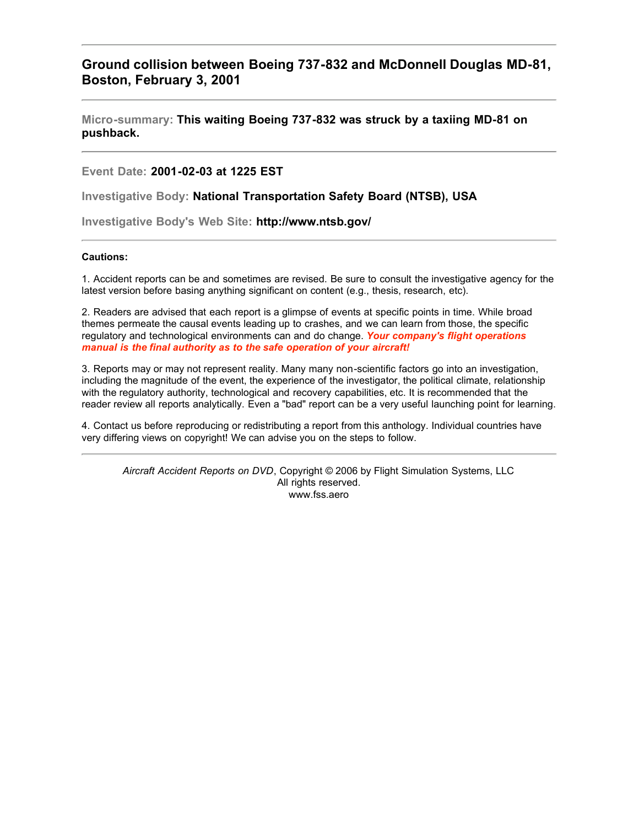## **Ground collision between Boeing 737-832 and McDonnell Douglas MD-81, Boston, February 3, 2001**

**Micro-summary: This waiting Boeing 737-832 was struck by a taxiing MD-81 on pushback.**

**Event Date: 2001-02-03 at 1225 EST**

**Investigative Body: National Transportation Safety Board (NTSB), USA**

**Investigative Body's Web Site: http://www.ntsb.gov/**

## **Cautions:**

1. Accident reports can be and sometimes are revised. Be sure to consult the investigative agency for the latest version before basing anything significant on content (e.g., thesis, research, etc).

2. Readers are advised that each report is a glimpse of events at specific points in time. While broad themes permeate the causal events leading up to crashes, and we can learn from those, the specific regulatory and technological environments can and do change. *Your company's flight operations manual is the final authority as to the safe operation of your aircraft!*

3. Reports may or may not represent reality. Many many non-scientific factors go into an investigation, including the magnitude of the event, the experience of the investigator, the political climate, relationship with the regulatory authority, technological and recovery capabilities, etc. It is recommended that the reader review all reports analytically. Even a "bad" report can be a very useful launching point for learning.

4. Contact us before reproducing or redistributing a report from this anthology. Individual countries have very differing views on copyright! We can advise you on the steps to follow.

*Aircraft Accident Reports on DVD*, Copyright © 2006 by Flight Simulation Systems, LLC All rights reserved. www.fss.aero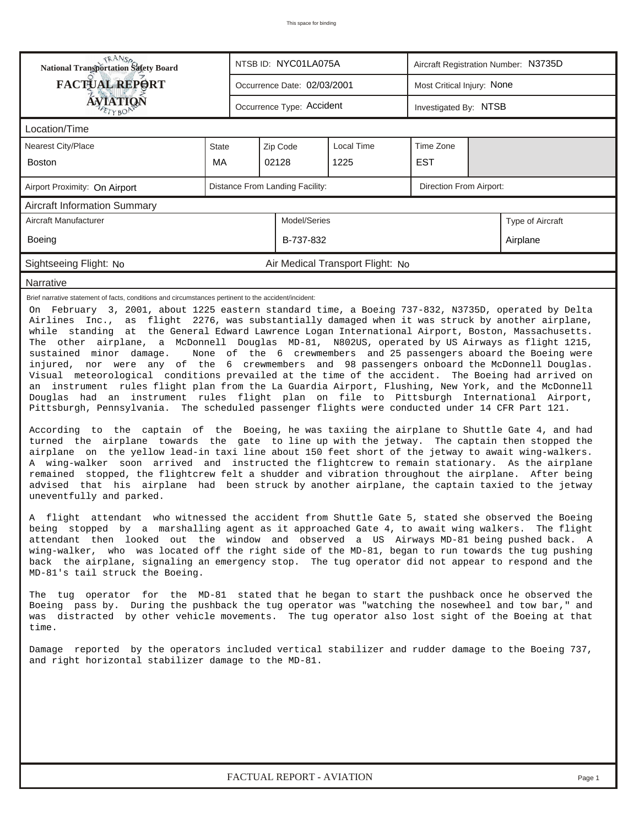| <b>NANSP</b><br>National Transportation Safety Board                                                                                                                                                                                                                                                                                                                                                                                                                                                                                                                                                                                                                                                                                                                                                                                                                                                                                                                                                                                                                                                                                                                                                                                                                                                                                                                                                                                                                                                                                                                                                                                                                                                                                                                                                                                                                                                                                                                                                                                                                                                                                                                                                                                                                                                                                                                                                                                                                                                                                                                                                                                                                                                                                                                                                                   |              |  | NTSB ID: NYC01LA075A        |                                  | Aircraft Registration Number: N3735D |                       |  |  |  |  |
|------------------------------------------------------------------------------------------------------------------------------------------------------------------------------------------------------------------------------------------------------------------------------------------------------------------------------------------------------------------------------------------------------------------------------------------------------------------------------------------------------------------------------------------------------------------------------------------------------------------------------------------------------------------------------------------------------------------------------------------------------------------------------------------------------------------------------------------------------------------------------------------------------------------------------------------------------------------------------------------------------------------------------------------------------------------------------------------------------------------------------------------------------------------------------------------------------------------------------------------------------------------------------------------------------------------------------------------------------------------------------------------------------------------------------------------------------------------------------------------------------------------------------------------------------------------------------------------------------------------------------------------------------------------------------------------------------------------------------------------------------------------------------------------------------------------------------------------------------------------------------------------------------------------------------------------------------------------------------------------------------------------------------------------------------------------------------------------------------------------------------------------------------------------------------------------------------------------------------------------------------------------------------------------------------------------------------------------------------------------------------------------------------------------------------------------------------------------------------------------------------------------------------------------------------------------------------------------------------------------------------------------------------------------------------------------------------------------------------------------------------------------------------------------------------------------------|--------------|--|-----------------------------|----------------------------------|--------------------------------------|-----------------------|--|--|--|--|
| <b>FACTUAL REPORT</b>                                                                                                                                                                                                                                                                                                                                                                                                                                                                                                                                                                                                                                                                                                                                                                                                                                                                                                                                                                                                                                                                                                                                                                                                                                                                                                                                                                                                                                                                                                                                                                                                                                                                                                                                                                                                                                                                                                                                                                                                                                                                                                                                                                                                                                                                                                                                                                                                                                                                                                                                                                                                                                                                                                                                                                                                  |              |  | Occurrence Date: 02/03/2001 |                                  | Most Critical Injury: None           |                       |  |  |  |  |
| ÁVIATION                                                                                                                                                                                                                                                                                                                                                                                                                                                                                                                                                                                                                                                                                                                                                                                                                                                                                                                                                                                                                                                                                                                                                                                                                                                                                                                                                                                                                                                                                                                                                                                                                                                                                                                                                                                                                                                                                                                                                                                                                                                                                                                                                                                                                                                                                                                                                                                                                                                                                                                                                                                                                                                                                                                                                                                                               |              |  | Occurrence Type: Accident   |                                  |                                      | Investigated By: NTSB |  |  |  |  |
| Location/Time                                                                                                                                                                                                                                                                                                                                                                                                                                                                                                                                                                                                                                                                                                                                                                                                                                                                                                                                                                                                                                                                                                                                                                                                                                                                                                                                                                                                                                                                                                                                                                                                                                                                                                                                                                                                                                                                                                                                                                                                                                                                                                                                                                                                                                                                                                                                                                                                                                                                                                                                                                                                                                                                                                                                                                                                          |              |  |                             |                                  |                                      |                       |  |  |  |  |
| Nearest City/Place                                                                                                                                                                                                                                                                                                                                                                                                                                                                                                                                                                                                                                                                                                                                                                                                                                                                                                                                                                                                                                                                                                                                                                                                                                                                                                                                                                                                                                                                                                                                                                                                                                                                                                                                                                                                                                                                                                                                                                                                                                                                                                                                                                                                                                                                                                                                                                                                                                                                                                                                                                                                                                                                                                                                                                                                     | <b>State</b> |  | Zip Code                    | <b>Local Time</b>                | Time Zone                            |                       |  |  |  |  |
| <b>Boston</b>                                                                                                                                                                                                                                                                                                                                                                                                                                                                                                                                                                                                                                                                                                                                                                                                                                                                                                                                                                                                                                                                                                                                                                                                                                                                                                                                                                                                                                                                                                                                                                                                                                                                                                                                                                                                                                                                                                                                                                                                                                                                                                                                                                                                                                                                                                                                                                                                                                                                                                                                                                                                                                                                                                                                                                                                          | MA           |  | 02128                       | 1225                             | <b>EST</b>                           |                       |  |  |  |  |
| Distance From Landing Facility:<br>Direction From Airport:<br>Airport Proximity: On Airport                                                                                                                                                                                                                                                                                                                                                                                                                                                                                                                                                                                                                                                                                                                                                                                                                                                                                                                                                                                                                                                                                                                                                                                                                                                                                                                                                                                                                                                                                                                                                                                                                                                                                                                                                                                                                                                                                                                                                                                                                                                                                                                                                                                                                                                                                                                                                                                                                                                                                                                                                                                                                                                                                                                            |              |  |                             |                                  |                                      |                       |  |  |  |  |
| <b>Aircraft Information Summary</b>                                                                                                                                                                                                                                                                                                                                                                                                                                                                                                                                                                                                                                                                                                                                                                                                                                                                                                                                                                                                                                                                                                                                                                                                                                                                                                                                                                                                                                                                                                                                                                                                                                                                                                                                                                                                                                                                                                                                                                                                                                                                                                                                                                                                                                                                                                                                                                                                                                                                                                                                                                                                                                                                                                                                                                                    |              |  |                             |                                  |                                      |                       |  |  |  |  |
| Aircraft Manufacturer                                                                                                                                                                                                                                                                                                                                                                                                                                                                                                                                                                                                                                                                                                                                                                                                                                                                                                                                                                                                                                                                                                                                                                                                                                                                                                                                                                                                                                                                                                                                                                                                                                                                                                                                                                                                                                                                                                                                                                                                                                                                                                                                                                                                                                                                                                                                                                                                                                                                                                                                                                                                                                                                                                                                                                                                  |              |  | Model/Series                |                                  |                                      | Type of Aircraft      |  |  |  |  |
| Boeing                                                                                                                                                                                                                                                                                                                                                                                                                                                                                                                                                                                                                                                                                                                                                                                                                                                                                                                                                                                                                                                                                                                                                                                                                                                                                                                                                                                                                                                                                                                                                                                                                                                                                                                                                                                                                                                                                                                                                                                                                                                                                                                                                                                                                                                                                                                                                                                                                                                                                                                                                                                                                                                                                                                                                                                                                 |              |  | B-737-832                   |                                  |                                      | Airplane              |  |  |  |  |
| Sightseeing Flight: No                                                                                                                                                                                                                                                                                                                                                                                                                                                                                                                                                                                                                                                                                                                                                                                                                                                                                                                                                                                                                                                                                                                                                                                                                                                                                                                                                                                                                                                                                                                                                                                                                                                                                                                                                                                                                                                                                                                                                                                                                                                                                                                                                                                                                                                                                                                                                                                                                                                                                                                                                                                                                                                                                                                                                                                                 |              |  |                             | Air Medical Transport Flight: No |                                      |                       |  |  |  |  |
| Narrative                                                                                                                                                                                                                                                                                                                                                                                                                                                                                                                                                                                                                                                                                                                                                                                                                                                                                                                                                                                                                                                                                                                                                                                                                                                                                                                                                                                                                                                                                                                                                                                                                                                                                                                                                                                                                                                                                                                                                                                                                                                                                                                                                                                                                                                                                                                                                                                                                                                                                                                                                                                                                                                                                                                                                                                                              |              |  |                             |                                  |                                      |                       |  |  |  |  |
| Brief narrative statement of facts, conditions and circumstances pertinent to the accident/incident:<br>On February 3, 2001, about 1225 eastern standard time, a Boeing 737-832, N3735D, operated by Delta<br>Airlines Inc., as flight 2276, was substantially damaged when it was struck by another airplane,<br>while standing at the General Edward Lawrence Logan International Airport, Boston, Massachusetts.<br>The other airplane, a McDonnell Douglas MD-81, N802US, operated by US Airways as flight 1215,<br>sustained minor damage.<br>None of the 6 crewmembers and 25 passengers aboard the Boeing were<br>injured, nor were any of the 6 crewmembers and 98 passengers onboard the McDonnell Douglas.<br>Visual meteorological conditions prevailed at the time of the accident. The Boeing had arrived on<br>an instrument rules flight plan from the La Guardia Airport, Flushing, New York, and the McDonnell<br>Douglas had an instrument rules flight plan on file to Pittsburgh International Airport,<br>Pittsburgh, Pennsylvania. The scheduled passenger flights were conducted under 14 CFR Part 121.<br>According to the captain of the Boeing, he was taxiing the airplane to Shuttle Gate 4, and had<br>turned the airplane towards the gate to line up with the jetway. The captain then stopped the<br>airplane on the yellow lead-in taxi line about 150 feet short of the jetway to await wing-walkers.<br>A wing-walker soon arrived and instructed the flightcrew to remain stationary. As the airplane<br>remained stopped, the flightcrew felt a shudder and vibration throughout the airplane. After being<br>advised that his airplane had been struck by another airplane, the captain taxied to the jetway<br>uneventfully and parked.<br>A flight attendant who witnessed the accident from Shuttle Gate 5, stated she observed the Boeing<br>being stopped by a marshalling agent as it approached Gate 4, to await wing walkers. The flight<br>attendant then looked out the window and observed a US Airways MD-81 being pushed back. A<br>wing-walker, who was located off the right side of the MD-81, began to run towards the tug pushing<br>back the airplane, signaling an emergency stop. The tug operator did not appear to respond and the<br>MD-81's tail struck the Boeing.<br>The tug operator for the MD-81 stated that he began to start the pushback once he observed the<br>Boeing pass by. During the pushback the tug operator was "watching the nosewheel and tow bar," and<br>was distracted by other vehicle movements. The tug operator also lost sight of the Boeing at that<br>time.<br>Damage reported by the operators included vertical stabilizer and rudder damage to the Boeing 737,<br>and right horizontal stabilizer damage to the MD-81. |              |  |                             |                                  |                                      |                       |  |  |  |  |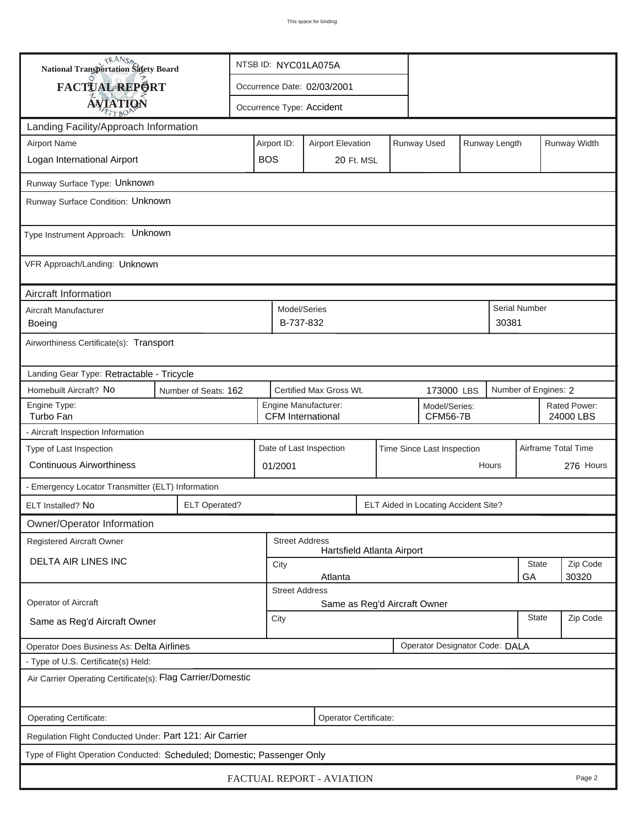| <b>National Transportation Safety Board</b>                                                             |                                                                                       |            |                                    |                                                  |  | NTSB ID: NYC01LA075A |             |                                  |               |               |                           |  |
|---------------------------------------------------------------------------------------------------------|---------------------------------------------------------------------------------------|------------|------------------------------------|--------------------------------------------------|--|----------------------|-------------|----------------------------------|---------------|---------------|---------------------------|--|
| <b>FACTUAL REPORT</b>                                                                                   |                                                                                       |            | Occurrence Date: 02/03/2001        |                                                  |  |                      |             |                                  |               |               |                           |  |
| <b>AVIATION</b>                                                                                         |                                                                                       |            | Occurrence Type: Accident          |                                                  |  |                      |             |                                  |               |               |                           |  |
| Landing Facility/Approach Information                                                                   |                                                                                       |            |                                    |                                                  |  |                      |             |                                  |               |               |                           |  |
| <b>Airport Name</b><br>Airport ID:                                                                      |                                                                                       |            |                                    | <b>Airport Elevation</b>                         |  |                      | Runway Used |                                  | Runway Length |               | Runway Width              |  |
| Logan International Airport                                                                             |                                                                                       | <b>BOS</b> |                                    | 20 Ft. MSL                                       |  |                      |             |                                  |               |               |                           |  |
| Runway Surface Type: Unknown                                                                            |                                                                                       |            |                                    |                                                  |  |                      |             |                                  |               |               |                           |  |
| Runway Surface Condition: Unknown                                                                       |                                                                                       |            |                                    |                                                  |  |                      |             |                                  |               |               |                           |  |
| Type Instrument Approach: Unknown                                                                       |                                                                                       |            |                                    |                                                  |  |                      |             |                                  |               |               |                           |  |
| VFR Approach/Landing: Unknown                                                                           |                                                                                       |            |                                    |                                                  |  |                      |             |                                  |               |               |                           |  |
| Aircraft Information                                                                                    |                                                                                       |            |                                    |                                                  |  |                      |             |                                  |               |               |                           |  |
| Aircraft Manufacturer<br>Boeing                                                                         |                                                                                       |            | Model/Series<br>B-737-832<br>30381 |                                                  |  |                      |             |                                  |               | Serial Number |                           |  |
| Airworthiness Certificate(s): Transport                                                                 |                                                                                       |            |                                    |                                                  |  |                      |             |                                  |               |               |                           |  |
| Landing Gear Type: Retractable - Tricycle                                                               |                                                                                       |            |                                    |                                                  |  |                      |             |                                  |               |               |                           |  |
| Homebuilt Aircraft? No                                                                                  | Certified Max Gross Wt.<br>Number of Engines: 2<br>173000 LBS<br>Number of Seats: 162 |            |                                    |                                                  |  |                      |             |                                  |               |               |                           |  |
| Engine Type:<br>Turbo Fan                                                                               |                                                                                       |            |                                    | Engine Manufacturer:<br><b>CFM</b> International |  |                      |             | Model/Series:<br><b>CFM56-7B</b> |               |               | Rated Power:<br>24000 LBS |  |
| - Aircraft Inspection Information                                                                       |                                                                                       |            |                                    |                                                  |  |                      |             |                                  |               |               |                           |  |
| Airframe Total Time<br>Type of Last Inspection<br>Date of Last Inspection<br>Time Since Last Inspection |                                                                                       |            |                                    |                                                  |  |                      |             |                                  |               |               |                           |  |
| <b>Continuous Airworthiness</b>                                                                         |                                                                                       |            |                                    | 01/2001                                          |  |                      |             |                                  | Hours         |               | 276 Hours                 |  |
| - Emergency Locator Transmitter (ELT) Information                                                       |                                                                                       |            |                                    |                                                  |  |                      |             |                                  |               |               |                           |  |
| ELT Installed? No                                                                                       | <b>ELT Operated?</b><br>ELT Aided in Locating Accident Site?                          |            |                                    |                                                  |  |                      |             |                                  |               |               |                           |  |
| Owner/Operator Information                                                                              |                                                                                       |            |                                    |                                                  |  |                      |             |                                  |               |               |                           |  |
| <b>Street Address</b><br>Registered Aircraft Owner<br>Hartsfield Atlanta Airport                        |                                                                                       |            |                                    |                                                  |  |                      |             |                                  |               |               |                           |  |
| <b>DELTA AIR LINES INC</b>                                                                              |                                                                                       |            | City                               |                                                  |  |                      |             |                                  |               | <b>State</b>  | Zip Code                  |  |
| 30320<br>Atlanta<br>GA                                                                                  |                                                                                       |            |                                    |                                                  |  |                      |             |                                  |               |               |                           |  |
| <b>Street Address</b><br><b>Operator of Aircraft</b><br>Same as Reg'd Aircraft Owner                    |                                                                                       |            |                                    |                                                  |  |                      |             |                                  |               |               |                           |  |
| Same as Reg'd Aircraft Owner                                                                            |                                                                                       |            |                                    | City                                             |  |                      |             |                                  |               |               | Zip Code                  |  |
| Operator Designator Code: DALA<br>Operator Does Business As: Delta Airlines                             |                                                                                       |            |                                    |                                                  |  |                      |             |                                  |               |               |                           |  |
| - Type of U.S. Certificate(s) Held:                                                                     |                                                                                       |            |                                    |                                                  |  |                      |             |                                  |               |               |                           |  |
| Air Carrier Operating Certificate(s): Flag Carrier/Domestic                                             |                                                                                       |            |                                    |                                                  |  |                      |             |                                  |               |               |                           |  |
| Operating Certificate:<br>Operator Certificate:                                                         |                                                                                       |            |                                    |                                                  |  |                      |             |                                  |               |               |                           |  |
| Regulation Flight Conducted Under: Part 121: Air Carrier                                                |                                                                                       |            |                                    |                                                  |  |                      |             |                                  |               |               |                           |  |
| Type of Flight Operation Conducted: Scheduled; Domestic; Passenger Only                                 |                                                                                       |            |                                    |                                                  |  |                      |             |                                  |               |               |                           |  |
| FACTUAL REPORT - AVIATION<br>Page 2                                                                     |                                                                                       |            |                                    |                                                  |  |                      |             |                                  |               |               |                           |  |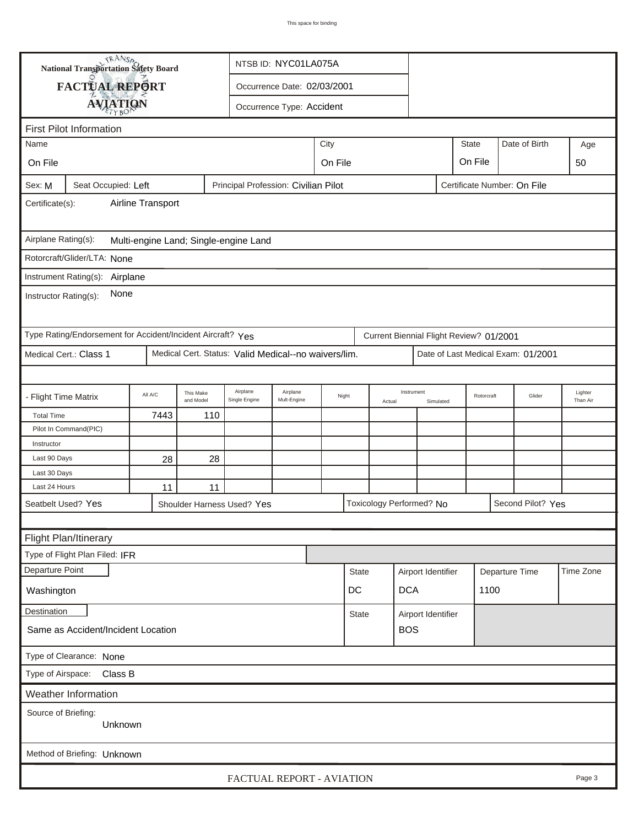|                                                                                                      | <b>National Transportation Safety Board</b><br>NTSB ID: NYC01LA075A |         |                        |                                                      |                             |                 |            |            |                                         |            |              |        |                                    |     |
|------------------------------------------------------------------------------------------------------|---------------------------------------------------------------------|---------|------------------------|------------------------------------------------------|-----------------------------|-----------------|------------|------------|-----------------------------------------|------------|--------------|--------|------------------------------------|-----|
|                                                                                                      | FACTUAL REPORT                                                      |         |                        |                                                      | Occurrence Date: 02/03/2001 |                 |            |            |                                         |            |              |        |                                    |     |
|                                                                                                      |                                                                     |         |                        |                                                      |                             |                 |            |            |                                         |            |              |        |                                    |     |
|                                                                                                      | <b>AVIATION</b><br>Occurrence Type: Accident                        |         |                        |                                                      |                             |                 |            |            |                                         |            |              |        |                                    |     |
|                                                                                                      | <b>First Pilot Information</b>                                      |         |                        |                                                      |                             |                 |            |            |                                         |            |              |        |                                    |     |
| Name                                                                                                 |                                                                     |         | City                   |                                                      |                             |                 |            |            |                                         |            | <b>State</b> |        | Date of Birth                      | Age |
| On File                                                                                              |                                                                     |         |                        |                                                      | On File<br>On File          |                 |            |            |                                         |            |              |        |                                    | 50  |
| Certificate Number: On File<br>Seat Occupied: Left<br>Principal Profession: Civilian Pilot<br>Sex: M |                                                                     |         |                        |                                                      |                             |                 |            |            |                                         |            |              |        |                                    |     |
| Airline Transport<br>Certificate(s):                                                                 |                                                                     |         |                        |                                                      |                             |                 |            |            |                                         |            |              |        |                                    |     |
| Airplane Rating(s):<br>Multi-engine Land; Single-engine Land                                         |                                                                     |         |                        |                                                      |                             |                 |            |            |                                         |            |              |        |                                    |     |
|                                                                                                      | Rotorcraft/Glider/LTA: None                                         |         |                        |                                                      |                             |                 |            |            |                                         |            |              |        |                                    |     |
|                                                                                                      |                                                                     |         |                        |                                                      |                             |                 |            |            |                                         |            |              |        |                                    |     |
| Instrument Rating(s): Airplane<br>None<br>Instructor Rating(s):                                      |                                                                     |         |                        |                                                      |                             |                 |            |            |                                         |            |              |        |                                    |     |
|                                                                                                      | Type Rating/Endorsement for Accident/Incident Aircraft? Yes         |         |                        |                                                      |                             |                 |            |            | Current Biennial Flight Review? 01/2001 |            |              |        |                                    |     |
|                                                                                                      | Medical Cert.: Class 1                                              |         |                        | Medical Cert. Status: Valid Medical--no waivers/lim. |                             |                 |            |            |                                         |            |              |        | Date of Last Medical Exam: 01/2001 |     |
|                                                                                                      |                                                                     |         |                        |                                                      |                             |                 |            |            |                                         |            |              |        |                                    |     |
| - Flight Time Matrix                                                                                 |                                                                     | All A/C | This Make<br>and Model | Airplane<br>Single Engine                            | Airplane<br>Mult-Engine     | Night<br>Actual |            | Instrument | Simulated                               | Rotorcraft |              | Glider | Lighter<br>Than Air                |     |
| <b>Total Time</b>                                                                                    |                                                                     | 7443    | 110                    |                                                      |                             |                 |            |            |                                         |            |              |        |                                    |     |
|                                                                                                      | Pilot In Command(PIC)                                               |         |                        |                                                      |                             |                 |            |            |                                         |            |              |        |                                    |     |
| Instructor                                                                                           |                                                                     |         |                        |                                                      |                             |                 |            |            |                                         |            |              |        |                                    |     |
| Last 90 Days<br>Last 30 Days                                                                         |                                                                     | 28      | 28                     |                                                      |                             |                 |            |            |                                         |            |              |        |                                    |     |
| Last 24 Hours                                                                                        |                                                                     | 11      | 11                     |                                                      |                             |                 |            |            |                                         |            |              |        |                                    |     |
|                                                                                                      | Seatbelt Used? Yes                                                  |         |                        | Shoulder Harness Used? Yes                           | Toxicology Performed? No    |                 |            |            |                                         |            |              |        | Second Pilot? Yes                  |     |
|                                                                                                      |                                                                     |         |                        |                                                      |                             |                 |            |            |                                         |            |              |        |                                    |     |
| Flight Plan/Itinerary                                                                                |                                                                     |         |                        |                                                      |                             |                 |            |            |                                         |            |              |        |                                    |     |
| Type of Flight Plan Filed: IFR                                                                       |                                                                     |         |                        |                                                      |                             |                 |            |            |                                         |            |              |        |                                    |     |
| Departure Point<br>Departure Time<br>Time Zone<br><b>State</b><br>Airport Identifier                 |                                                                     |         |                        |                                                      |                             |                 |            |            |                                         |            |              |        |                                    |     |
| Washington                                                                                           |                                                                     |         |                        |                                                      |                             | DC              | <b>DCA</b> |            | 1100                                    |            |              |        |                                    |     |
| Destination<br>Airport Identifier<br>State                                                           |                                                                     |         |                        |                                                      |                             |                 |            |            |                                         |            |              |        |                                    |     |
| <b>BOS</b><br>Same as Accident/Incident Location                                                     |                                                                     |         |                        |                                                      |                             |                 |            |            |                                         |            |              |        |                                    |     |
| Type of Clearance: None                                                                              |                                                                     |         |                        |                                                      |                             |                 |            |            |                                         |            |              |        |                                    |     |
| Class B<br>Type of Airspace:                                                                         |                                                                     |         |                        |                                                      |                             |                 |            |            |                                         |            |              |        |                                    |     |
| <b>Weather Information</b>                                                                           |                                                                     |         |                        |                                                      |                             |                 |            |            |                                         |            |              |        |                                    |     |
| Source of Briefing:<br>Unknown                                                                       |                                                                     |         |                        |                                                      |                             |                 |            |            |                                         |            |              |        |                                    |     |
|                                                                                                      | Method of Briefing: Unknown                                         |         |                        |                                                      |                             |                 |            |            |                                         |            |              |        |                                    |     |
| FACTUAL REPORT - AVIATION<br>Page 3                                                                  |                                                                     |         |                        |                                                      |                             |                 |            |            |                                         |            |              |        |                                    |     |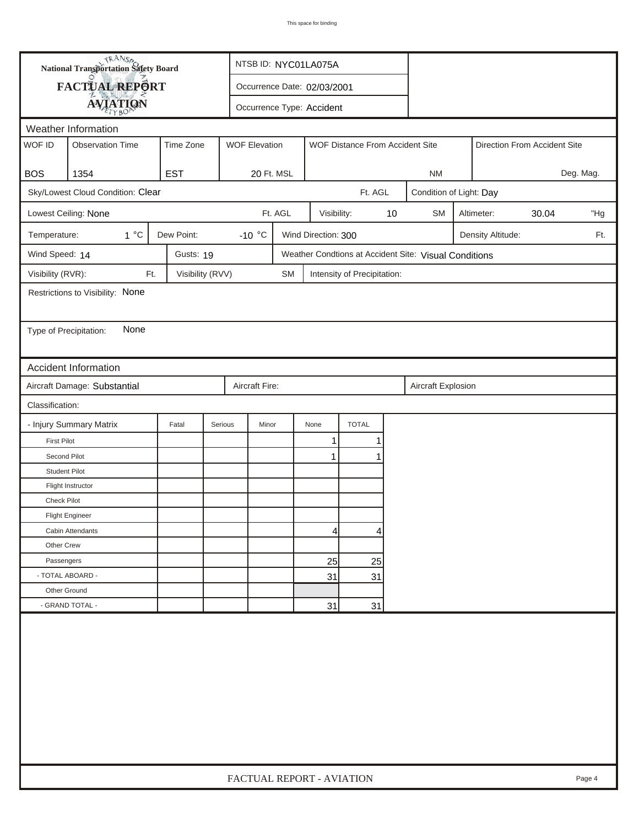| FACTUAL REPORT<br>Occurrence Date: 02/03/2001<br><b>AVIATION</b><br>Occurrence Type: Accident<br>Weather Information<br>WOF ID<br><b>Observation Time</b><br>Time Zone<br><b>WOF Elevation</b><br>WOF Distance From Accident Site<br>Direction From Accident Site<br><b>EST</b><br><b>BOS</b><br>1354<br>20 Ft. MSL<br><b>NM</b><br>Sky/Lowest Cloud Condition: Clear<br>Ft. AGL<br>Condition of Light: Day<br>Ft. AGL<br>Lowest Ceiling: None<br>Visibility:<br>10<br><b>SM</b><br>Altimeter:<br>30.04<br>$1^{\circ}C$<br>Dew Point:<br>-10 $\degree$ C<br>Wind Direction: 300<br>Temperature:<br>Density Altitude:<br>Wind Speed: 14<br>Gusts: 19<br>Weather Condtions at Accident Site: Visual Conditions<br>Visibility (RVR):<br>Visibility (RVV)<br>Ft.<br><b>SM</b><br>Intensity of Precipitation:<br>Restrictions to Visibility: None<br>None<br>Type of Precipitation:<br>Accident Information<br>Aircraft Damage: Substantial<br>Aircraft Fire:<br>Aircraft Explosion<br>Classification:<br>- Injury Summary Matrix<br><b>TOTAL</b><br>Fatal<br>Serious<br>Minor<br>None<br>$\mathbf{1}$<br><b>First Pilot</b><br>1 | Deg. Mag.<br>"Hg<br>Ft. |
|------------------------------------------------------------------------------------------------------------------------------------------------------------------------------------------------------------------------------------------------------------------------------------------------------------------------------------------------------------------------------------------------------------------------------------------------------------------------------------------------------------------------------------------------------------------------------------------------------------------------------------------------------------------------------------------------------------------------------------------------------------------------------------------------------------------------------------------------------------------------------------------------------------------------------------------------------------------------------------------------------------------------------------------------------------------------------------------------------------------------------|-------------------------|
|                                                                                                                                                                                                                                                                                                                                                                                                                                                                                                                                                                                                                                                                                                                                                                                                                                                                                                                                                                                                                                                                                                                              |                         |
|                                                                                                                                                                                                                                                                                                                                                                                                                                                                                                                                                                                                                                                                                                                                                                                                                                                                                                                                                                                                                                                                                                                              |                         |
|                                                                                                                                                                                                                                                                                                                                                                                                                                                                                                                                                                                                                                                                                                                                                                                                                                                                                                                                                                                                                                                                                                                              |                         |
|                                                                                                                                                                                                                                                                                                                                                                                                                                                                                                                                                                                                                                                                                                                                                                                                                                                                                                                                                                                                                                                                                                                              |                         |
|                                                                                                                                                                                                                                                                                                                                                                                                                                                                                                                                                                                                                                                                                                                                                                                                                                                                                                                                                                                                                                                                                                                              |                         |
|                                                                                                                                                                                                                                                                                                                                                                                                                                                                                                                                                                                                                                                                                                                                                                                                                                                                                                                                                                                                                                                                                                                              |                         |
|                                                                                                                                                                                                                                                                                                                                                                                                                                                                                                                                                                                                                                                                                                                                                                                                                                                                                                                                                                                                                                                                                                                              |                         |
|                                                                                                                                                                                                                                                                                                                                                                                                                                                                                                                                                                                                                                                                                                                                                                                                                                                                                                                                                                                                                                                                                                                              |                         |
|                                                                                                                                                                                                                                                                                                                                                                                                                                                                                                                                                                                                                                                                                                                                                                                                                                                                                                                                                                                                                                                                                                                              |                         |
|                                                                                                                                                                                                                                                                                                                                                                                                                                                                                                                                                                                                                                                                                                                                                                                                                                                                                                                                                                                                                                                                                                                              |                         |
|                                                                                                                                                                                                                                                                                                                                                                                                                                                                                                                                                                                                                                                                                                                                                                                                                                                                                                                                                                                                                                                                                                                              |                         |
|                                                                                                                                                                                                                                                                                                                                                                                                                                                                                                                                                                                                                                                                                                                                                                                                                                                                                                                                                                                                                                                                                                                              |                         |
|                                                                                                                                                                                                                                                                                                                                                                                                                                                                                                                                                                                                                                                                                                                                                                                                                                                                                                                                                                                                                                                                                                                              |                         |
|                                                                                                                                                                                                                                                                                                                                                                                                                                                                                                                                                                                                                                                                                                                                                                                                                                                                                                                                                                                                                                                                                                                              |                         |
|                                                                                                                                                                                                                                                                                                                                                                                                                                                                                                                                                                                                                                                                                                                                                                                                                                                                                                                                                                                                                                                                                                                              |                         |
|                                                                                                                                                                                                                                                                                                                                                                                                                                                                                                                                                                                                                                                                                                                                                                                                                                                                                                                                                                                                                                                                                                                              |                         |
|                                                                                                                                                                                                                                                                                                                                                                                                                                                                                                                                                                                                                                                                                                                                                                                                                                                                                                                                                                                                                                                                                                                              |                         |
|                                                                                                                                                                                                                                                                                                                                                                                                                                                                                                                                                                                                                                                                                                                                                                                                                                                                                                                                                                                                                                                                                                                              |                         |
|                                                                                                                                                                                                                                                                                                                                                                                                                                                                                                                                                                                                                                                                                                                                                                                                                                                                                                                                                                                                                                                                                                                              |                         |
|                                                                                                                                                                                                                                                                                                                                                                                                                                                                                                                                                                                                                                                                                                                                                                                                                                                                                                                                                                                                                                                                                                                              |                         |
| Second Pilot<br>1<br>1                                                                                                                                                                                                                                                                                                                                                                                                                                                                                                                                                                                                                                                                                                                                                                                                                                                                                                                                                                                                                                                                                                       |                         |
| <b>Student Pilot</b>                                                                                                                                                                                                                                                                                                                                                                                                                                                                                                                                                                                                                                                                                                                                                                                                                                                                                                                                                                                                                                                                                                         |                         |
| Flight Instructor                                                                                                                                                                                                                                                                                                                                                                                                                                                                                                                                                                                                                                                                                                                                                                                                                                                                                                                                                                                                                                                                                                            |                         |
| <b>Check Pilot</b>                                                                                                                                                                                                                                                                                                                                                                                                                                                                                                                                                                                                                                                                                                                                                                                                                                                                                                                                                                                                                                                                                                           |                         |
| <b>Flight Engineer</b>                                                                                                                                                                                                                                                                                                                                                                                                                                                                                                                                                                                                                                                                                                                                                                                                                                                                                                                                                                                                                                                                                                       |                         |
| Cabin Attendants<br> 4 <br>4                                                                                                                                                                                                                                                                                                                                                                                                                                                                                                                                                                                                                                                                                                                                                                                                                                                                                                                                                                                                                                                                                                 |                         |
| Other Crew                                                                                                                                                                                                                                                                                                                                                                                                                                                                                                                                                                                                                                                                                                                                                                                                                                                                                                                                                                                                                                                                                                                   |                         |
| Passengers<br>25<br>25                                                                                                                                                                                                                                                                                                                                                                                                                                                                                                                                                                                                                                                                                                                                                                                                                                                                                                                                                                                                                                                                                                       |                         |
| - TOTAL ABOARD -<br>31<br>31                                                                                                                                                                                                                                                                                                                                                                                                                                                                                                                                                                                                                                                                                                                                                                                                                                                                                                                                                                                                                                                                                                 |                         |
| Other Ground                                                                                                                                                                                                                                                                                                                                                                                                                                                                                                                                                                                                                                                                                                                                                                                                                                                                                                                                                                                                                                                                                                                 |                         |
| - GRAND TOTAL -<br>31<br>31                                                                                                                                                                                                                                                                                                                                                                                                                                                                                                                                                                                                                                                                                                                                                                                                                                                                                                                                                                                                                                                                                                  |                         |